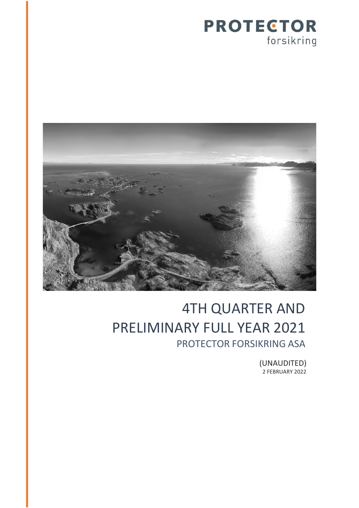



# 4TH QUARTER AND PRELIMINARY FULL YEAR 2021 PROTECTOR FORSIKRING ASA

(UNAUDITED) 2 FEBRUARY 2022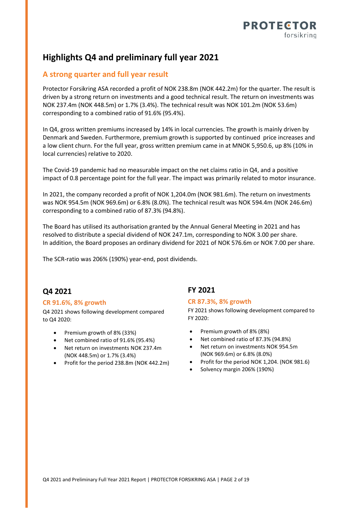

## **Highlights Q4 and preliminary full year 2021**

### **A strong quarter and full year result**

Protector Forsikring ASA recorded a profit of NOK 238.8m (NOK 442.2m) for the quarter. The result is driven by a strong return on investments and a good technical result. The return on investments was NOK 237.4m (NOK 448.5m) or 1.7% (3.4%). The technical result was NOK 101.2m (NOK 53.6m) corresponding to a combined ratio of 91.6% (95.4%).

In Q4, gross written premiums increased by 14% in local currencies. The growth is mainly driven by Denmark and Sweden. Furthermore, premium growth is supported by continued price increases and a low client churn. For the full year, gross written premium came in at MNOK 5,950.6, up 8% (10% in local currencies) relative to 2020.

The Covid-19 pandemic had no measurable impact on the net claims ratio in Q4, and a positive impact of 0.8 percentage point for the full year. The impact was primarily related to motor insurance.

In 2021, the company recorded a profit of NOK 1,204.0m (NOK 981.6m). The return on investments was NOK 954.5m (NOK 969.6m) or 6.8% (8.0%). The technical result was NOK 594.4m (NOK 246.6m) corresponding to a combined ratio of 87.3% (94.8%).

The Board has utilised its authorisation granted by the Annual General Meeting in 2021 and has resolved to distribute a special dividend of NOK 247.1m, corresponding to NOK 3.00 per share. In addition, the Board proposes an ordinary dividend for 2021 of NOK 576.6m or NOK 7.00 per share.

The SCR-ratio was 206% (190%) year-end, post dividends.

### **Q4 2021**

#### **CR 91.6%, 8% growth**

Q4 2021 shows following development compared to Q4 2020:

- Premium growth of 8% (33%)
- Net combined ratio of 91.6% (95.4%)
- Net return on investments NOK 237.4m (NOK 448.5m) or 1.7% (3.4%)
- Profit for the period 238.8m (NOK 442.2m)

### **FY 2021**

#### **CR 87.3%, 8% growth**

FY 2021 shows following development compared to FY 2020:

- $\bullet$ Premium growth of 8% (8%)
- . Net combined ratio of 87.3% (94.8%)
- $\bullet$  Net return on investments NOK 954.5m (NOK 969.6m) or 6.8% (8.0%)
- . Profit for the period NOK 1,204. (NOK 981.6)
- . Solvency margin 206% (190%)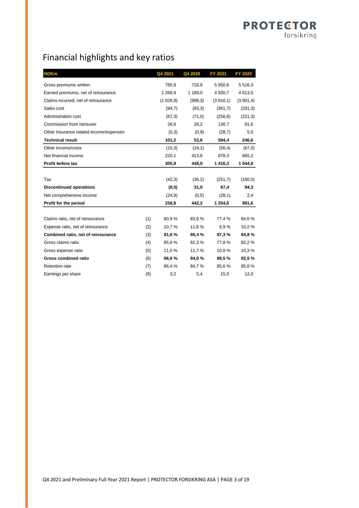## Financial highlights and key ratios

| <b>NOKm</b>                             |     | Q4 2021   | Q4 2020  | FY 2021     | <b>FY 2020</b> |
|-----------------------------------------|-----|-----------|----------|-------------|----------------|
| Gross premiums written                  |     | 785,9     | 728,9    | 5 950,6     | 5516,3         |
| Earned premiums, net of reinsurance     |     | 1 268,9   | 1 189,0  | 4 9 20, 7   | 4613,5         |
| Claims incurred, net of reinsurance     |     | (1026, 9) | (996, 3) | (3, 810, 1) | (3901,4)       |
| Sales cost                              |     | (94,7)    | (93,3)   | (361,7)     | (331,3)        |
| Administration cost                     |     | (67,3)    | (71,0)   | (256, 6)    | (221,3)        |
| Commission from reinsurer               |     | 26,6      | 26,2     | 130,7       | 81,6           |
| Other insurance related income/expenses |     | (5,3)     | (0,9)    | (28,7)      | 5,5            |
| <b>Technical result</b>                 |     | 101,2     | 53,6     | 594,4       | 246,6          |
| Other income/costs                      |     | (15,3)    | (19,1)   | (56, 4)     | (67, 0)        |
| Net financial income                    |     | 220,1     | 413,6    | 878,3       | 865,2          |
| Profit before tax                       |     | 305,9     | 448,0    | 1416,3      | 1 044,8        |
|                                         |     |           |          |             |                |
| Tax                                     |     | (42,3)    | (36,2)   | (251,7)     | (160, 0)       |
| <b>Discontinued operations</b>          |     | (0, 0)    | 31,0     | 67,4        | 94,3           |
| Net comprehensive income                |     | (24, 9)   | (0,5)    | (28,1)      | 2,4            |
| Profit for the period                   |     | 238,8     | 442,2    | 1 204,0     | 981,6          |
|                                         |     |           |          |             |                |
| Claims ratio, net of reinsurance        | (1) | 80,9%     | 83,8%    | 77,4 %      | 84,6%          |
| Expense ratio, net of reinsurance       | (2) | 10,7%     | 11,6 %   | 9.9%        | 10,2%          |
| Combined ratio, net of reinsurance      | (3) | 91,6%     | 95,4%    | 87,3%       | 94,8%          |
| Gross claims ratio                      | (4) | 85,6%     | 82,3 %   | 77,8%       | 82,2%          |
| Gross expense ratio                     | (5) | 11,0 %    | 11,7 %   | 10,8%       | 10,3%          |
| Gross combined ratio                    | (6) | 96,6%     | 94,0%    | 88,5%       | 92,5%          |
| Retention rate                          | (7) | 86,4%     | 84,7%    | 85,6%       | 85,8%          |
| Earnings per share                      | (8) | 3,2       | 5,4      | 15,0        | 12,0           |

**PROTECTOR** 

forsikring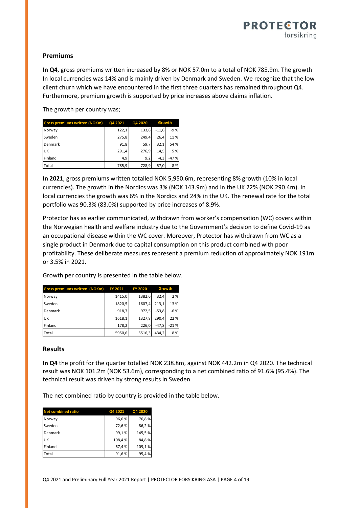### **Premiums**

**In Q4**, gross premiums written increased by 8% or NOK 57.0m to a total of NOK 785.9m. The growth In local currencies was 14% and is mainly driven by Denmark and Sweden. We recognize that the low client churn which we have encountered in the first three quarters has remained throughout Q4. Furthermore, premium growth is supported by price increases above claims inflation.

The growth per country was;

| Gross premiums written (NOKm) Q4 2021 |       | Q4 2020 | Growth  |        |
|---------------------------------------|-------|---------|---------|--------|
| Norway                                | 122,1 | 133,8   | $-11.6$ | $-9%$  |
| Sweden                                | 275,8 | 249,4   | 26,4    | 11%    |
| Denmark                               | 91,8  | 59,7    | 32,1    | 54 %   |
| lик                                   | 291,4 | 276,9   | 14.5    | 5 %    |
| Finland                               | 4,9   | 9,2     | $-4,3$  | $-47%$ |
| Total                                 | 785,9 | 728,9   | 57,0    | 8%     |

**In 2021**, gross premiums written totalled NOK 5,950.6m, representing 8% growth (10% in local currencies). The growth in the Nordics was 3% (NOK 143.9m) and in the UK 22% (NOK 290.4m). In local currencies the growth was 6% in the Nordics and 24% in the UK. The renewal rate for the total portfolio was 90.3% (83.0%) supported by price increases of 8.9%.

Protector has as earlier communicated, withdrawn from worker's compensation (WC) covers within the Norwegian health and welfare industry due to the Government's decision to define Covid-19 as an occupational disease within the WC cover. Moreover, Protector has withdrawn from WC as a single product in Denmark due to capital consumption on this product combined with poor profitability. These deliberate measures represent a premium reduction of approximately NOK 191m or 3.5% in 2021.

Growth per country is presented in the table below.

| <b>Gross premiums written (NOKm)</b> | <b>FY 2021</b> | <b>FY 2020</b> |         | Growth |
|--------------------------------------|----------------|----------------|---------|--------|
| Norway                               | 1415,0         | 1382,6         | 32.4    | 2 %    |
| lSweden                              | 1820,5         | 1607,4         | 213,1   | 13 %   |
| Denmark                              | 918,7          | 972,5          | $-53,8$ | $-6%$  |
| luк                                  | 1618,1         | 1327,8         | 290.4   | 22 %   |
| Finland                              | 178,2          | 226,0          | $-47.8$ | $-21%$ |
| <b>Total</b>                         | 5950,6         | 5516,3         | 434.2   | 8%     |

### **Results**

**In Q4** the profit for the quarter totalled NOK 238.8m, against NOK 442.2m in Q4 2020. The technical result was NOK 101.2m (NOK 53.6m), corresponding to a net combined ratio of 91.6% (95.4%). The technical result was driven by strong results in Sweden.

The net combined ratio by country is provided in the table below.

| <b>Net combined ratio</b> | Q4 2021 | Q4 2020 |
|---------------------------|---------|---------|
| Norway                    | 96,6%   | 76,8%   |
| Sweden                    | 72,6%   | 86,2%   |
| Denmark                   | 99,1%   | 145,5%  |
| <b>UK</b>                 | 108,4%  | 84,8%   |
| Finland                   | 67,4%   | 109,1%  |
| Total                     | 91,6%   | 95,4%   |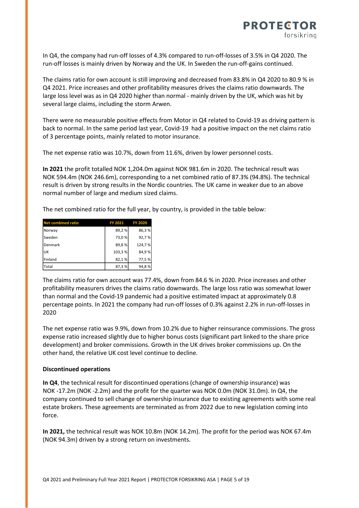

In Q4, the company had run-off losses of 4.3% compared to run-off-losses of 3.5% in Q4 2020. The run-off losses is mainly driven by Norway and the UK. In Sweden the run-off-gains continued.

The claims ratio for own account is still improving and decreased from 83.8% in Q4 2020 to 80.9 % in Q4 2021. Price increases and other profitability measures drives the claims ratio downwards. The large loss level was as in Q4 2020 higher than normal - mainly driven by the UK, which was hit by several large claims, including the storm Arwen.

There were no measurable positive effects from Motor in Q4 related to Covid-19 as driving pattern is back to normal. In the same period last year, Covid-19 had a positive impact on the net claims ratio of 3 percentage points, mainly related to motor insurance.

The net expense ratio was 10.7%, down from 11.6%, driven by lower personnel costs.

**In 2021** the profit totalled NOK 1,204.0m against NOK 981.6m in 2020. The technical result was NOK 594.4m (NOK 246.6m), corresponding to a net combined ratio of 87.3% (94.8%). The technical result is driven by strong results in the Nordic countries. The UK came in weaker due to an above normal number of large and medium sized claims.

The net combined ratio for the full year, by country, is provided in the table below:

| <b>Net combined ratio</b> | FY 2021 | <b>FY 2020</b> |
|---------------------------|---------|----------------|
| Norway                    | 89,2%   | 86,3%          |
| lSweden                   | 73,0%   | 92,7%          |
| Denmark                   | 89,8%   | 124,7%         |
| lик                       | 103,3%  | 84,9%          |
| Finland                   | 82,1%   | 77,5%          |
| Total                     | 87,3%   | 94,8%          |

The claims ratio for own account was 77.4%, down from 84.6 % in 2020. Price increases and other profitability measurers drives the claims ratio downwards. The large loss ratio was somewhat lower than normal and the Covid-19 pandemic had a positive estimated impact at approximately 0.8 percentage points. In 2021 the company had run-off losses of 0.3% against 2.2% in run-off-losses in 2020

The net expense ratio was 9.9%, down from 10.2% due to higher reinsurance commissions. The gross expense ratio increased slightly due to higher bonus costs (significant part linked to the share price development) and broker commissions. Growth in the UK drives broker commissions up. On the other hand, the relative UK cost level continue to decline.

#### **Discontinued operations**

**In Q4**, the technical result for discontinued operations (change of ownership insurance) was NOK -17.2m (NOK -2.2m) and the profit for the quarter was NOK 0.0m (NOK 31.0m). In Q4, the company continued to sell change of ownership insurance due to existing agreements with some real estate brokers. These agreements are terminated as from 2022 due to new legislation coming into force.

**In 2021,** the technical result was NOK 10.8m (NOK 14.2m). The profit for the period was NOK 67.4m (NOK 94.3m) driven by a strong return on investments.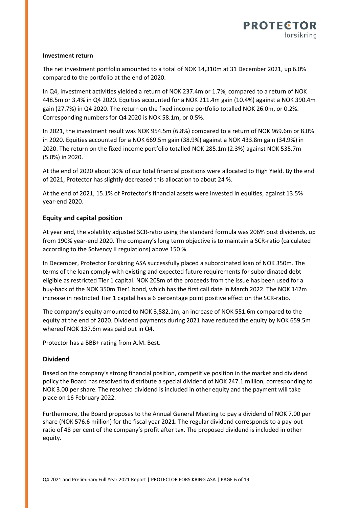#### **Investment return**

The net investment portfolio amounted to a total of NOK 14,310m at 31 December 2021, up 6.0% compared to the portfolio at the end of 2020.

In Q4, investment activities yielded a return of NOK 237.4m or 1.7%, compared to a return of NOK 448.5m or 3.4% in Q4 2020. Equities accounted for a NOK 211.4m gain (10.4%) against a NOK 390.4m gain (27.7%) in Q4 2020. The return on the fixed income portfolio totalled NOK 26.0m, or 0.2%. Corresponding numbers for Q4 2020 is NOK 58.1m, or 0.5%.

In 2021, the investment result was NOK 954.5m (6.8%) compared to a return of NOK 969.6m or 8.0% in 2020. Equities accounted for a NOK 669.5m gain (38.9%) against a NOK 433.8m gain (34.9%) in 2020. The return on the fixed income portfolio totalled NOK 285.1m (2.3%) against NOK 535.7m (5.0%) in 2020.

At the end of 2020 about 30% of our total financial positions were allocated to High Yield. By the end of 2021, Protector has slightly decreased this allocation to about 24 %.

At the end of 2021, 15.1% of Protector's financial assets were invested in equities, against 13.5% year-end 2020.

### **Equity and capital position**

At year end, the volatility adjusted SCR-ratio using the standard formula was 206% post dividends, up from 190% year-end 2020. The company's long term objective is to maintain a SCR-ratio (calculated according to the Solvency II regulations) above 150 %.

In December, Protector Forsikring ASA successfully placed a subordinated loan of NOK 350m. The terms of the loan comply with existing and expected future requirements for subordinated debt eligible as restricted Tier 1 capital. NOK 208m of the proceeds from the issue has been used for a buy-back of the NOK 350m Tier1 bond, which has the first call date in March 2022. The NOK 142m increase in restricted Tier 1 capital has a 6 percentage point positive effect on the SCR-ratio.

The company's equity amounted to NOK 3,582.1m, an increase of NOK 551.6m compared to the equity at the end of 2020. Dividend payments during 2021 have reduced the equity by NOK 659.5m whereof NOK 137.6m was paid out in Q4.

Protector has a BBB+ rating from A.M. Best.

### **Dividend**

Based on the company's strong financial position, competitive position in the market and dividend policy the Board has resolved to distribute a special dividend of NOK 247.1 million, corresponding to NOK 3.00 per share. The resolved dividend is included in other equity and the payment will take place on 16 February 2022.

Furthermore, the Board proposes to the Annual General Meeting to pay a dividend of NOK 7.00 per share (NOK 576.6 million) for the fiscal year 2021. The regular dividend corresponds to a pay-out ratio of 48 per cent of the company's profit after tax. The proposed dividend is included in other equity.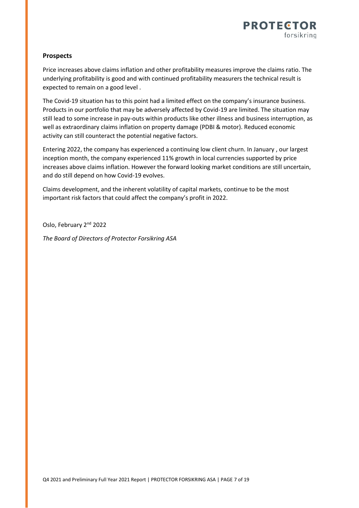

#### **Prospects**

Price increases above claims inflation and other profitability measures improve the claims ratio. The underlying profitability is good and with continued profitability measurers the technical result is expected to remain on a good level .

The Covid-19 situation has to this point had a limited effect on the company's insurance business. Products in our portfolio that may be adversely affected by Covid-19 are limited. The situation may still lead to some increase in pay-outs within products like other illness and business interruption, as well as extraordinary claims inflation on property damage (PDBI & motor). Reduced economic activity can still counteract the potential negative factors.

Entering 2022, the company has experienced a continuing low client churn. In January , our largest inception month, the company experienced 11% growth in local currencies supported by price increases above claims inflation. However the forward looking market conditions are still uncertain, and do still depend on how Covid-19 evolves.

Claims development, and the inherent volatility of capital markets, continue to be the most important risk factors that could affect the company's profit in 2022.

Oslo, February 2<sup>nd</sup> 2022

*The Board of Directors of Protector Forsikring ASA*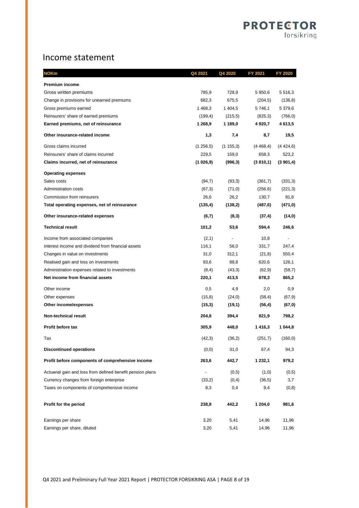## Income statement

| NOKm                                                       | Q4 2021     | Q4 2020  | FY 2021   | FY 2020    |
|------------------------------------------------------------|-------------|----------|-----------|------------|
| <b>Premium income</b>                                      |             |          |           |            |
| Gross written premiums                                     | 785,9       | 728,9    | 5 950,6   | 5 5 1 6, 3 |
| Change in provisions for unearned premiums                 | 682,3       | 675,5    | (204, 5)  | (136, 8)   |
| Gross premiums earned                                      | 1468,3      | 1 404,5  | 5 746,1   | 5 379,6    |
| Reinsurers' share of earned premiums                       | (199, 4)    | (215,5)  | (825,3)   | (766, 0)   |
| Earned premiums, net of reinsurance                        | 1 268,9     | 1 189,0  | 4 920,7   | 4 613,5    |
| Other insurance-related income                             | 1,3         | 7,4      | 8,7       | 19,5       |
| Gross claims incurred                                      | (1, 256, 5) | (1155,3) | (4468, 4) | (4424,6)   |
| Reinsurers' share of claims incurred                       | 229,5       | 159,0    | 658,3     | 523,2      |
| Claims incurred, net of reinsurance                        | (1026, 9)   | (996, 3) | (3810, 1) | (3901,4)   |
| <b>Operating expenses</b>                                  |             |          |           |            |
| Sales costs                                                | (94,7)      | (93,3)   | (361,7)   | (331,3)    |
| <b>Administration costs</b>                                | (67,3)      | (71, 0)  | (256, 6)  | (221,3)    |
| Commission from reinsurers                                 | 26,6        | 26,2     | 130,7     | 81,6       |
| Total operating expenses, net of reinsurance               | (135, 4)    | (138,2)  | (487, 6)  | (471,0)    |
| Other insurance-related expenses                           | (6,7)       | (8,3)    | (37, 4)   | (14, 0)    |
| <b>Technical result</b>                                    | 101,2       | 53,6     | 594,4     | 246,6      |
| Income from associated companies                           | (2,1)       |          | 10,8      |            |
| Interest income and dividend from financial assets         | 116,1       | 56,0     | 331,7     | 247,4      |
| Changes in value on investments                            | 31,0        | 312,1    | (21, 8)   | 550,4      |
| Realised gain and loss on investments                      | 83,6        | 88,8     | 620,6     | 126,1      |
| Administration expenses related to investments             | (8,4)       | (43,3)   | (62, 9)   | (58,7)     |
| Net income from financial assets                           | 220,1       | 413,5    | 878,3     | 865,2      |
| Other income                                               | 0,5         | 4,9      | 2,0       | 0,9        |
| Other expenses                                             | (15,8)      | (24,0)   | (58, 4)   | (67, 9)    |
| Other income/expenses                                      | (15,3)      | (19,1)   | (56, 4)   | (67, 0)    |
| Non-technical result                                       | 204,8       | 394,4    | 821,9     | 798,2      |
| Profit before tax                                          | 305,9       | 448,0    | 1416,3    | 1 044,8    |
| Tax                                                        | (42,3)      | (36,2)   | (251,7)   | (160, 0)   |
| <b>Discontinued operations</b>                             | (0,0)       | 31,0     | 67,4      | 94,3       |
| Profit before components of comprehensive income           | 263,6       | 442,7    | 1 232,1   | 979,2      |
| Actuarial gain and loss from defined benefit pension plans |             | (0,5)    | (1,0)     | (0,5)      |
| Currency changes from foreign enterprise                   | (33,2)      | (0,4)    | (36, 5)   | 3,7        |
| Taxes on components of comprehensive income                | 8,3         | 0,4      | 9,4       | (0, 8)     |
| Profit for the period                                      | 238,8       | 442,2    | 1 204,0   | 981,6      |
| Earnings per share                                         | 3,20        | 5,41     | 14,96     | 11,96      |
| Earnings per share, diluted                                | 3,20        | 5,41     | 14,96     | 11,96      |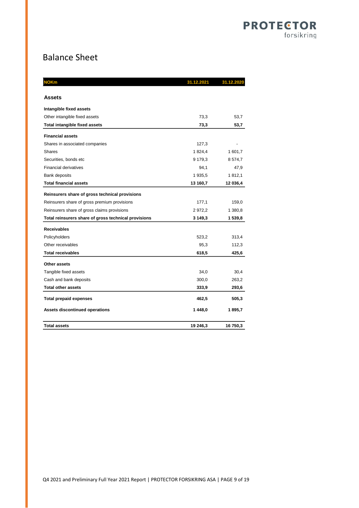## Balance Sheet

| IOKm                                                 | 31.12.2021 | 31.12.2020 |
|------------------------------------------------------|------------|------------|
| <b>Assets</b>                                        |            |            |
| Intangible fixed assets                              |            |            |
| Other intangible fixed assets                        | 73,3       | 53,7       |
| Total intangible fixed assets                        | 73,3       | 53,7       |
| <b>Financial assets</b>                              |            |            |
| Shares in associated companies                       | 127,3      |            |
| <b>Shares</b>                                        | 1824,4     | 1 601,7    |
| Securities, bonds etc                                | 9 179,3    | 8 574,7    |
| <b>Financial derivatives</b>                         | 94,1       | 47,9       |
| <b>Bank deposits</b>                                 | 1935,5     | 1812,1     |
| <b>Total financial assets</b>                        | 13 160,7   | 12 036,4   |
| Reinsurers share of gross technical provisions       |            |            |
| Reinsurers share of gross premium provisions         | 177,1      | 159,0      |
| Reinsurers share of gross claims provisions          | 2972,2     | 1 380,8    |
| Total reinsurers share of gross technical provisions | 3 149,3    | 1 539,8    |
| <b>Receivables</b>                                   |            |            |
| Policyholders                                        | 523,2      | 313,4      |
| Other receivables                                    | 95,3       | 112,3      |
| <b>Total receivables</b>                             | 618,5      | 425,6      |
| Other assets                                         |            |            |
| Tangible fixed assets                                | 34,0       | 30,4       |
| Cash and bank deposits                               | 300,0      | 263,2      |
| <b>Total other assets</b>                            | 333,9      | 293,6      |
| <b>Total prepaid expenses</b>                        | 462,5      | 505,3      |
| <b>Assets discontinued operations</b>                | 1448,0     | 1895,7     |
| <b>Total assets</b>                                  | 19 246,3   | 16 750,3   |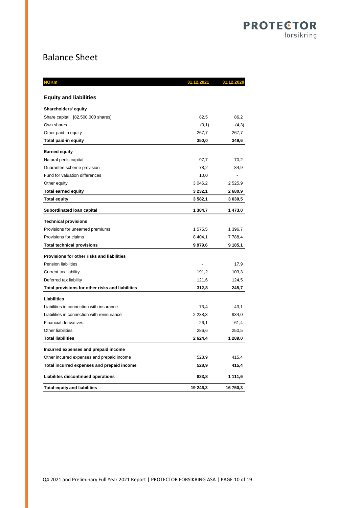## Balance Sheet

| IOKm                                             | 31.12.2021     |             |
|--------------------------------------------------|----------------|-------------|
| <b>Equity and liabilities</b>                    |                |             |
| Shareholders' equity                             |                |             |
| Share capital [82.500.000 shares]                | 82,5           | 86,2        |
| Own shares                                       | (0,1)          | (4,3)       |
| Other paid-in equity                             | 267,7          | 267,7       |
| Total paid-in equity                             | 350,0          | 349,6       |
| <b>Earned equity</b>                             |                |             |
| Natural perils capital                           | 97,7           | 70,2        |
| Guarantee scheme provision                       | 78,2           | 84,9        |
| Fund for valuation differences                   | 10,0           | ÷,          |
| Other equity                                     | 3 0 46,2       | 2 5 2 5 , 9 |
| <b>Total earned equity</b>                       | 3 2 3 2, 1     | 2 680,9     |
| <b>Total equity</b>                              | 3 5 8 2, 1     | 3 030,5     |
| Subordinated Ioan capital                        | 1 384,7        | 1473,0      |
| <b>Technical provisions</b>                      |                |             |
| Provisions for unearned premiums                 | 1575,5         | 1 396,7     |
| Provisions for claims                            | 8 4 0 4, 1     | 7 788,4     |
| <b>Total technical provisions</b>                | 9979,6         | 9 185,1     |
| Provisions for other risks and liabilities       |                |             |
| <b>Pension liabilities</b>                       | $\overline{a}$ | 17,9        |
| Current tax liability                            | 191,2          | 103,3       |
| Deferred tax liability                           | 121,6          | 124,5       |
| Total provisions for other risks and liabilities | 312,8          | 245,7       |
| Liabilities                                      |                |             |
| Liabilities in connection with insurance         | 73,4           | 43,1        |
| Liabilities in connection with reinsurance       | 2 2 38, 3      | 934,0       |
| <b>Financial derivatives</b>                     | 26,1           | 61,4        |
| Other liabilities                                | 286,6          | 250,5       |
| <b>Total liabilities</b>                         | 2624,4         | 1 289,0     |
| Incurred expenses and prepaid income             |                |             |
| Other incurred expenses and prepaid income       | 528,9          | 415,4       |
| Total incurred expenses and prepaid income       | 528,9          | 415,4       |
| Liabilites discontinued operations               | 833,8          | 1 111,6     |
| <b>Total equity and liabilities</b>              | 19 246,3       | 16 750,3    |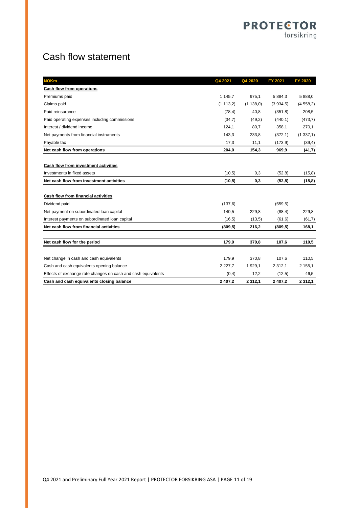## Cash flow statement

| <b>NOKm</b>                                                   | Q4 2021     | Q4 2020     | FY 2021     | <b>FY 2020</b> |
|---------------------------------------------------------------|-------------|-------------|-------------|----------------|
| Cash flow from operations                                     |             |             |             |                |
| Premiums paid                                                 | 1 1 4 5 , 7 | 975,1       | 5 884,3     | 5 888,0        |
| Claims paid                                                   | (1113,2)    | (1138,0)    | (3.934, 5)  | (4558,2)       |
| Paid reinsurance                                              | (78, 4)     | 40,8        | (351, 8)    | 208,5          |
| Paid operating expenses including commissions                 | (34,7)      | (49,2)      | (440, 1)    | (473,7)        |
| Interest / dividend income                                    | 124,1       | 80,7        | 358,1       | 270,1          |
| Net payments from financial instruments                       | 143,3       | 233,8       | (372, 1)    | (1337,1)       |
| Payable tax                                                   | 17,3        | 11,1        | (173, 9)    | (39, 4)        |
| Net cash flow from operations                                 | 204,0       | 154,3       | 969,9       | (41,7)         |
|                                                               |             |             |             |                |
| Cash flow from investment activities                          |             |             |             |                |
| Investments in fixed assets                                   | (10,5)      | 0,3         | (52, 8)     | (15, 8)        |
| Net cash flow from investment activities                      | (10,5)      | 0,3         | (52,8)      | (15, 8)        |
|                                                               |             |             |             |                |
| Cash flow from financial activities                           |             |             |             |                |
| Dividend paid                                                 | (137, 6)    |             | (659.5)     |                |
| Net payment on subordinated loan capital                      | 140,5       | 229,8       | (88, 4)     | 229,8          |
| Interest payments on subordinated loan capital                | (16, 5)     | (13,5)      | (61, 6)     | (61,7)         |
| Net cash flow from financial activities                       | (809, 5)    | 216,2       | (809, 5)    | 168,1          |
|                                                               |             |             |             |                |
| Net cash flow for the period                                  | 179,9       | 370,8       | 107,6       | 110,5          |
|                                                               |             |             |             |                |
| Net change in cash and cash equivalents                       | 179,9       | 370,8       | 107,6       | 110,5          |
| Cash and cash equivalents opening balance                     | 2 2 2 7 .7  | 1 929,1     | 2 3 1 2 , 1 | 2 155,1        |
| Effects of exchange rate changes on cash and cash equivalents | (0,4)       | 12,2        | (12,5)      | 46,5           |
| Cash and cash equivalents closing balance                     | 2 407.2     | 2 3 1 2 . 1 | 2 407.2     | 2 3 1 2 . 1    |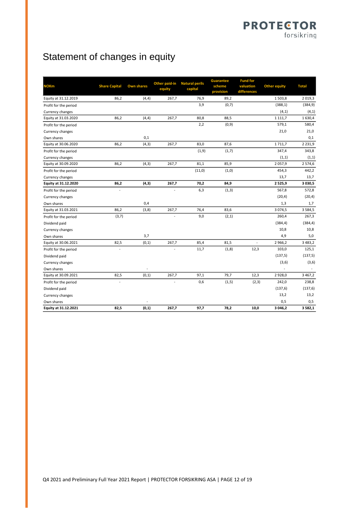## Statement of changes in equity

| <b>NOKm</b>           | <b>Share Capital</b> | <b>Own shares</b> | Other paid-in<br>equity | <b>Natural perils</b><br>capital | <b>Guarantee</b><br>scheme<br>provision | <b>Fund for</b><br>valuation<br>differences | <b>Other equity</b> | <b>Total</b> |
|-----------------------|----------------------|-------------------|-------------------------|----------------------------------|-----------------------------------------|---------------------------------------------|---------------------|--------------|
| Equity at 31.12.2019  | 86,2                 | (4, 4)            | 267,7                   | 76,9                             | 89,2                                    |                                             | 1503,8              | 2 0 19,3     |
| Profit for the period |                      |                   |                         | 3,9                              | (0,7)                                   |                                             | (388, 1)            | (384, 9)     |
| Currency changes      |                      |                   |                         |                                  |                                         |                                             | (4, 1)              | (4, 1)       |
| Equity at 31.03.2020  | 86,2                 | (4, 4)            | 267,7                   | 80,8                             | 88,5                                    |                                             | 1 1 1 1,7           | 1630,4       |
| Profit for the period |                      |                   |                         | 2,2                              | (0, 9)                                  |                                             | 579,1               | 580,4        |
| Currency changes      |                      |                   |                         |                                  |                                         |                                             | 21,0                | 21,0         |
| Own shares            |                      | 0,1               |                         |                                  |                                         |                                             |                     | 0,1          |
| Equity at 30.06.2020  | 86,2                 | (4, 3)            | 267,7                   | 83,0                             | 87,6                                    |                                             | 1711,7              | 2 2 3 1, 9   |
| Profit for the period |                      |                   |                         | (1, 9)                           | (1,7)                                   |                                             | 347,4               | 343,8        |
| Currency changes      |                      |                   |                         |                                  |                                         |                                             | (1,1)               | (1,1)        |
| Equity at 30.09.2020  | 86,2                 | (4, 3)            | 267,7                   | 81,1                             | 85,9                                    |                                             | 2 0 5 7, 9          | 2 574,6      |
| Profit for the period |                      |                   |                         | (11,0)                           | (1,0)                                   |                                             | 454,3               | 442,2        |
| Currency changes      |                      |                   |                         |                                  |                                         |                                             | 13,7                | 13,7         |
| Equity at 31.12.2020  | 86,2                 | (4,3)             | 267,7                   | 70,2                             | 84,9                                    |                                             | 2 5 2 5 , 9         | 3 0 3 0 , 5  |
| Profit for the period | Ĭ.                   |                   |                         | 6,3                              | (1,3)                                   |                                             | 567,8               | 572,8        |
| Currency changes      |                      |                   |                         |                                  |                                         |                                             | (20, 4)             | (20, 4)      |
| Own shares            |                      | 0,4               |                         |                                  |                                         |                                             | 1,3                 | 1,7          |
| Equity at 31.03.2021  | 86,2                 | (3, 8)            | 267,7                   | 76,4                             | 83,6                                    |                                             | 3 0 7 4, 5          | 3 5 8 4 , 5  |
| Profit for the period | (3,7)                |                   |                         | 9,0                              | (2,1)                                   |                                             | 260,4               | 267,3        |
| Dividend paid         |                      |                   |                         |                                  |                                         |                                             | (384, 4)            | (384, 4)     |
| Currency changes      |                      |                   |                         |                                  |                                         |                                             | 10,8                | 10,8         |
| Own shares            |                      | 3,7               |                         |                                  |                                         |                                             | 4,9                 | 5,0          |
| Equity at 30.06.2021  | 82,5                 | (0, 1)            | 267,7                   | 85,4                             | 81,5                                    |                                             | 2 966,2             | 3 4 8 3 , 2  |
| Profit for the period |                      |                   | ÷,                      | 11,7                             | (1, 8)                                  | 12,3                                        | 103,0               | 125,1        |
| Dividend paid         |                      |                   |                         |                                  |                                         |                                             | (137, 5)            | (137, 5)     |
| Currency changes      |                      |                   |                         |                                  |                                         |                                             | (3, 6)              | (3,6)        |
| Own shares            |                      |                   |                         |                                  |                                         |                                             |                     |              |
| Equity at 30.09.2021  | 82,5                 | (0, 1)            | 267,7                   | 97,1                             | 79,7                                    | 12,3                                        | 2 9 2 8 , 0         | 3 4 6 7 , 2  |
| Profit for the period | $\overline{a}$       |                   | ÷,                      | 0,6                              | (1, 5)                                  | (2, 3)                                      | 242,0               | 238,8        |
| Dividend paid         |                      |                   |                         |                                  |                                         |                                             | (137, 6)            | (137, 6)     |
| Currency changes      |                      |                   |                         |                                  |                                         |                                             | 13,2                | 13,2         |
| Own shares            |                      |                   |                         |                                  |                                         |                                             | 0,5                 | 0,5          |
| Equity at 31.12.2021  | 82,5                 | (0,1)             | 267,7                   | 97,7                             | 78,2                                    | 10,0                                        | 3 046,2             | 3 5 8 2, 1   |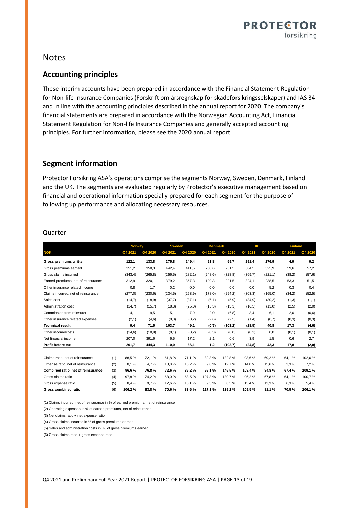

### Notes

### **Accounting principles**

These interim accounts have been prepared in accordance with the Financial Statement Regulation for Non-life Insurance Companies (Forskrift om årsregnskap for skadeforsikringsselskaper) and IAS 34 and in line with the accounting principles described in the annual report for 2020. The company's financial statements are prepared in accordance with the Norwegian Accounting Act, Financial Statement Regulation for Non-life Insurance Companies and generally accepted accounting principles. For further information, please see the 2020 annual report.

### **Segment information**

Protector Forsikring ASA's operations comprise the segments Norway, Sweden, Denmark, Finland and the UK. The segments are evaluated regularly by Protector's executive management based on financial and operational information specially prepared for each segment for the purpose of following up performance and allocating necessary resources.

### Quarter

|                                     |     | <b>Norway</b> |          | <b>Sweden</b> |          | <b>Denmark</b> |          | UK      |          | <b>Finland</b> |         |
|-------------------------------------|-----|---------------|----------|---------------|----------|----------------|----------|---------|----------|----------------|---------|
| <b>NOKm</b>                         |     | Q4 2021       | Q4 2020  | Q4 2021       | Q4 2020  | Q4 2021        | Q4 2020  | Q4 2021 | Q4 2020  | Q4 2021        | Q4 2020 |
| Gross premiums written              |     | 122,1         | 133,8    | 275,8         | 249,4    | 91,8           | 59,7     | 291,4   | 276,9    | 4,9            | 9,2     |
| Gross premiums earned               |     | 351,2         | 358,3    | 442,4         | 411,5    | 230.6          | 251,5    | 384,5   | 325,9    | 59,6           | 57,2    |
| Gross claims incurred               |     | (343, 4)      | (265, 8) | (256, 5)      | (282, 1) | (248, 6)       | (328.8)  | (369,7) | (221, 1) | (38,2)         | (57, 6) |
| Earned premiums, net of reinsurance |     | 312,9         | 320,1    | 379,2         | 357,3    | 199,3          | 221,5    | 324,1   | 238,5    | 53,3           | 51,5    |
| Other insurance related income      |     | 0,8           | 1,7      | 0,2           | 0,0      | 0,0            | 0,0      | 0,0     | 5,2      | 0,3            | 0,4     |
| Claims incurred, net of reinsurance |     | (277,0)       | (230, 6) | (234, 5)      | (253, 9) | (178,0)        | (294, 2) | (303,3) | (165, 0) | (34,2)         | (52, 5) |
| Sales cost                          |     | (14,7)        | (18, 9)  | (37,7)        | (37,1)   | (6,1)          | (5,9)    | (34, 9) | (30,2)   | (1,3)          | (1,1)   |
| Administration cost                 |     | (14,7)        | (15,7)   | (18,3)        | (25,0)   | (15,3)         | (15,3)   | (16, 5) | (13,0)   | (2, 5)         | (2,0)   |
| Commission from reinsurer           |     | 4,1           | 19,5     | 15,1          | 7,9      | 2,0            | (6,8)    | 3,4     | 6,1      | 2,0            | (0,6)   |
| Other insurance related expenses    |     | (2,1)         | (4,6)    | (0,3)         | (0,2)    | (2,6)          | (2,5)    | (1,4)   | (0,7)    | (0,3)          | (0,3)   |
| <b>Technical result</b>             |     | 9,4           | 71,5     | 103,7         | 49,1     | (0,7)          | (103, 2) | (28, 5) | 40,8     | 17,3           | (4, 6)  |
| Other income/costs                  |     | (14,6)        | (18, 9)  | (0,1)         | (0,2)    | (0,3)          | (0,0)    | (0,2)   | 0,0      | (0, 1)         | (0,1)   |
| Net financial income                |     | 207,0         | 391,6    | 6,5           | 17,2     | 2,1            | 0,6      | 3,9     | 1,5      | 0,6            | 2,7     |
| Profit before tax                   |     | 201,7         | 444,3    | 110,0         | 66,1     | 1,2            | (102,7)  | (24, 8) | 42,3     | 17,8           | (2,0)   |
|                                     |     |               |          |               |          |                |          |         |          |                |         |
| Claims ratio, net of reinsurance    | (1) | 88,5%         | 72,1%    | 61,8%         | 71,1%    | 89,3%          | 132,8%   | 93,6%   | 69,2%    | 64,1%          | 102,0%  |
| Expense ratio, net of reinsurance   | (2) | 8.1%          | 4,7%     | 10,8%         | 15,2%    | 9,8%           | 12,7%    | 14,8%   | 15,6%    | 3.3%           | 7,2%    |
| Combined ratio, net of reinsurance  | (3) | 96,6%         | 76,8%    | 72,6%         | 86,2%    | 99,1%          | 145,5%   | 108,4%  | 84,8%    | 67,4%          | 109,1%  |
| Gross claims ratio                  | (4) | 97,8%         | 74,2%    | 58,0%         | 68,5%    | 107,8%         | 130,7%   | 96,2%   | 67,8%    | 64,1%          | 100,7%  |
| Gross expense ratio                 | (5) | 8,4 %         | 9.7%     | 12,6 %        | 15,1%    | 9.3%           | 8,5%     | 13,4 %  | 13,3%    | 6,3%           | 5,4%    |
| <b>Gross combined ratio</b>         | (6) | 106.2%        | 83.8%    | 70.6%         | 83.6%    | 117.1 %        | 139.2%   | 109.5%  | 81.1%    | 70.5%          | 106,1%  |

(1) Claims incurred, net of reinsurance in % of earned premiums, net of reinsurance

(2) Operating expenses in % of earned premiums, net of reinsurance

(3) Net claims ratio + net expense ratio

(4) Gross claims incurred in % of gross premiums earned

(5) Sales and administration costs in % of gross premiums earned

(6) Gross claims ratio + gross expense ratio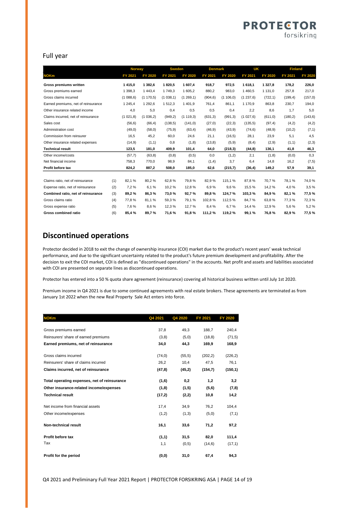### **PROTECTOR** forsikring

#### Full year

|                                     |     | <b>Norway</b>  |                | <b>Sweden</b>  |                | <b>Denmark</b> |                | UK       |                | <b>Finland</b> |                |
|-------------------------------------|-----|----------------|----------------|----------------|----------------|----------------|----------------|----------|----------------|----------------|----------------|
| <b>NOKm</b>                         |     | <b>FY 2021</b> | <b>FY 2020</b> | <b>FY 2021</b> | <b>FY 2020</b> | FY 2021        | <b>FY 2020</b> | FY 2021  | <b>FY 2020</b> | <b>FY 2021</b> | <b>FY 2020</b> |
| Gross premiums written              |     | 1 4 1 5 , 0    | 1 382,6        | 1820,5         | 1 607,4        | 918,7          | 972,5          | 1618,1   | 1 3 2 7 , 8    | 178,2          | 226,0          |
| Gross premiums earned               |     | 1 3 9 8.3      | 1 4 4 3 . 4    | 1749.3         | 1 605.2        | 880.2          | 983,0          | 1 460.5  | 1 131.0        | 257,8          | 217,0          |
| Gross claims incurred               |     | (1088,6)       | (1170,5)       | (1038,1)       | (1269,1)       | (904, 6)       | (1106,0)       | (1237,6) | (722, 1)       | (199, 4)       | (157, 0)       |
| Earned premiums, net of reinsurance |     | 1 245,4        | 1 292,6        | 1 5 1 2 , 3    | 1401,9         | 761,4          | 861,1          | 1 170,9  | 863,8          | 230,7          | 194,0          |
| Other insurance related income      |     | 4,0            | 5,0            | 0,4            | 0,5            | 0,5            | 0,4            | 2,2      | 8,6            | 1,7            | 5,0            |
| Claims incurred, net of reinsurance |     | (1021.8)       | (1036,2)       | (949,2)        | (1119,3)       | (631, 3)       | (991, 3)       | (1027,6) | (611,0)        | (180, 2)       | (143, 6)       |
| Sales cost                          |     | (56, 6)        | (66, 4)        | (138, 5)       | (141, 0)       | (27,0)         | (22,3)         | (135,5)  | (97, 4)        | (4,2)          | (4,2)          |
| Administration cost                 |     | (49,0)         | (58,0)         | (75, 9)        | (63, 4)        | (46, 9)        | (43, 9)        | (74, 6)  | (48, 9)        | (10,2)         | (7, 1)         |
| Commission from reinsurer           |     | 16,5           | 45,2           | 60,0           | 24,6           | 21,1           | (16, 5)        | 28,1     | 23,9           | 5,1            | 4,5            |
| Other insurance related expenses    |     | (14, 9)        | (1,1)          | 0,8            | (1,8)          | (13,8)         | (5,9)          | (8, 4)   | (2,9)          | (1,1)          | (2,3)          |
| <b>Technical result</b>             |     | 123,5          | 181,0          | 409,9          | 101,4          | 64,0           | (218, 3)       | (44,8)   | 136,1          | 41,8           | 46,3           |
| Other income/costs                  |     | (57,7)         | (63,8)         | (0,8)          | (0,5)          | 0,0            | (1,2)          | 2,1      | (1,8)          | (0,0)          | 0,3            |
| Net financial income                |     | 758.3          | 770,0          | 98,9           | 84,1           | (1,4)          | 3,7            | 6,4      | 14,8           | 16,2           | (7, 5)         |
| Profit before tax                   |     | 824,2          | 887,2          | 508,0          | 185,0          | 62,6           | (215,7)        | (36, 4)  | 149,2          | 57,9           | 39,1           |
|                                     |     |                |                |                |                |                |                |          |                |                |                |
| Claims ratio, net of reinsurance    | (1) | 82.1%          | 80,2%          | 62,8%          | 79.8%          | 82.9%          | 115,1%         | 87,8%    | 70.7%          | 78.1%          | 74,0%          |
| Expense ratio, net of reinsurance   | (2) | 7,2%           | 6,1%           | 10,2%          | 12,8%          | 6,9%           | 9,6%           | 15,5 %   | 14,2 %         | 4,0%           | 3,5%           |
| Combined ratio, net of reinsurance  | (3) | 89,2%          | 86,3%          | 73,0%          | 92,7%          | 89,8%          | 124,7%         | 103,3%   | 84,9%          | 82,1%          | 77,5%          |
| Gross claims ratio                  | (4) | 77.8%          | 81,1%          | 59,3%          | 79,1%          | 102.8%         | 112,5 %        | 84,7%    | 63.8%          | 77,3%          | 72,3%          |
| Gross expense ratio                 | (5) | 7.6%           | 8,6%           | 12,3%          | 12.7%          | 8,4%           | 6.7%           | 14,4 %   | 12,9 %         | 5,6%           | 5,2%           |
| <b>Gross combined ratio</b>         | (6) | 85,4%          | 89,7%          | 71,6%          | 91,8%          | 111,2%         | 119,2%         | 99,1%    | 76,8%          | 82,9%          | 77,5%          |

### **Discontinued operations**

Protector decided in 2018 to exit the change of ownership insurance (COI) market due to the product's recent years' weak technical performance, and due to the significant uncertainty related to the product's future premium development and profitability. After the decision to exit the COI market, COI is defined as "discontinued operations" in the accounts. Net profit and assets and liabilities associated with COI are presented on separate lines as discontinued operations.

Protector has entered into a 50 % quota share agreement (reinsurance) covering all historical business written until July 1st 2020.

Premium income in Q4 2021 is due to some continued agreements with real estate brokers. These agreements are terminated as from January 1st 2022 when the new Real Property Sale Act enters into force.

| <b>NOKm</b>                                  | Q4 2021 | Q4 2020 | FY 2021  | <b>FY 2020</b> |
|----------------------------------------------|---------|---------|----------|----------------|
|                                              |         |         |          |                |
| Gross premiums earned                        | 37,8    | 49,3    | 188,7    | 240,4          |
| Reinsurers' share of earned premiums         | (3,8)   | (5,0)   | (18, 8)  | (71, 5)        |
| Earned premiums, net of reinsurance          | 34,0    | 44,3    | 169,9    | 168,9          |
| Gross claims incurred                        | (74, 0) | (55, 5) | (202, 2) | (226, 2)       |
| Reinsurers' share of claims incurred         | 26,2    | 10,4    | 47.5     | 76.1           |
| Claims incurred, net of reinsurance          | (47, 8) | (45,2)  | (154,7)  | (150, 1)       |
| Total operating expenses, net of reinsurance | (1,6)   | 0,2     | 1,2      | 3,2            |
| Other insurance-related income/expenses      | (1,8)   | (1,5)   | (5, 6)   | (7,8)          |
| <b>Technical result</b>                      | (17,2)  | (2,2)   | 10,8     | 14,2           |
| Net income from financial assets             | 17,4    | 34,9    | 76,2     | 104,4          |
| Other income/expenses                        | (1,2)   | (1,3)   | (5,0)    | (7,1)          |
| Non-technical result                         | 16,1    | 33,6    | 71,2     | 97,2           |
| Profit before tax                            | (1,1)   | 31,5    | 82,0     | 111,4          |
| Tax                                          | 1,1     | (0,5)   | (14, 6)  | (17,1)         |
| Profit for the period                        | (0, 0)  | 31,0    | 67,4     | 94,3           |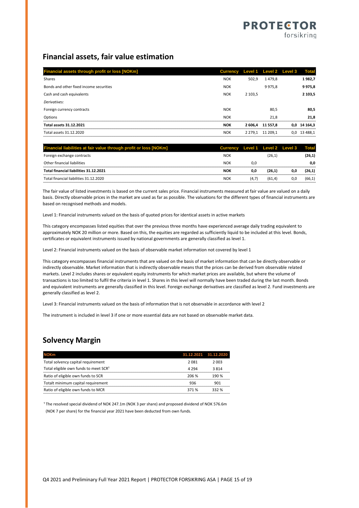### **Financial assets, fair value estimation**

| Financial assets through profit or loss [NOKm] | Currency Level 1 Level 2 Level 3 |             |                  |     | <b>Total</b> |
|------------------------------------------------|----------------------------------|-------------|------------------|-----|--------------|
| Shares                                         | <b>NOK</b>                       | 502.9       | 1479.8           |     | 1982,7       |
| Bonds and other fixed income securities        | <b>NOK</b>                       |             | 9975,8           |     | 9975,8       |
| Cash and cash equivalents                      | <b>NOK</b>                       | 2 103.5     |                  |     | 2 103,5      |
| Derivatives:                                   |                                  |             |                  |     |              |
| Foreign currency contracts                     | <b>NOK</b>                       |             | 80,5             |     | 80,5         |
| Options                                        | <b>NOK</b>                       |             | 21,8             |     | 21.8         |
| Total assets 31.12.2021                        | <b>NOK</b>                       |             | 2 606.4 11 557.8 | 0,0 | 14 164.3     |
| Total assets 31.12.2020                        | <b>NOK</b>                       | 2 2 7 9 . 1 | 11 209.1         | 0,0 | 13 488.1     |

| Financial liabilities at fair value through profit or loss [NOKm] | Currency Level 1 Level 2 Level 3 Total |     |        |     |        |
|-------------------------------------------------------------------|----------------------------------------|-----|--------|-----|--------|
| Foreign exchange contracts                                        | <b>NOK</b>                             |     | (26.1) |     | (26.1) |
| Other financial liabilities                                       | <b>NOK</b>                             | 0.C |        |     | 0.0    |
| Total financial liabilities 31.12.2021                            | NOK                                    | 0.0 | 26.1   |     | (26,1) |
| Total financial liabilities 31.12.2020                            | NOK                                    |     | (61.4) | 0.0 | (66.1) |

The fair value of listed investments is based on the current sales price. Financial instruments measured at fair value are valued on a daily basis. Directly observable prices in the market are used as far as possible. The valuations for the different types of financial instruments are based on recognised methods and models.

Level 1: Financial instruments valued on the basis of quoted prices for identical assets in active markets

This category encompasses listed equities that over the previous three months have experienced average daily trading equivalent to approximately NOK 20 million or more. Based on this, the equities are regarded as sufficiently liquid to be included at this level. Bonds, certificates or equivalent instruments issued by national governments are generally classified as level 1.

Level 2: Financial instruments valued on the basis of observable market information not covered by level 1

This category encompasses financial instruments that are valued on the basis of market information that can be directly observable or indirectly observable. Market information that is indirectly observable means that the prices can be derived from observable related markets. Level 2 includes shares or equivalent equity instruments for which market prices are available, but where the volume of transactions is too limited to fulfil the criteria in level 1. Shares in this level will normally have been traded during the last month. Bonds and equivalent instruments are generally classified in this level. Foreign exchange derivatives are classified as level 2. Fund investments are generally classified as level 2.

Level 3: Financial instruments valued on the basis of information that is not observable in accordance with level 2

The instrument is included in level 3 if one or more essential data are not based on observable market data.

## **Solvency Margin**

| <b>NOKm</b>                                       |       | 31.12.2021 31.12.2020 |
|---------------------------------------------------|-------|-----------------------|
| Total solvency capital requirement                | 2 081 | 2 003                 |
| Total eligible own funds to meet SCR <sup>1</sup> | 4 294 | 3814                  |
| Ratio of eligible own funds to SCR                | 206 % | 190 %                 |
| Totalt minimum capital requirement                | 936   | 901                   |
| Ratio of eligible own funds to MCR                | 371%  | 332 %                 |

<sup>1</sup> The resolved special dividend of NOK 247.1m (NOK 3 per share) and proposed dividend of NOK 576.6m (NOK 7 per share) for the financial year 2021 have been deducted from own funds.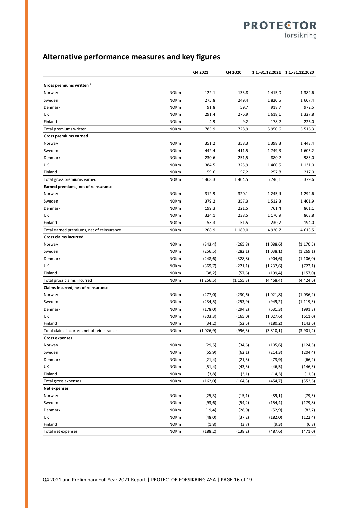## **PROTECTOR** forsikring

## **Alternative performance measures and key figures**

|                                           |             | Q4 2021   | Q4 2020     |            | 1.1.-31.12.2021 1.1.-31.12.2020 |
|-------------------------------------------|-------------|-----------|-------------|------------|---------------------------------|
| Gross premiums written <sup>1</sup>       |             |           |             |            |                                 |
| Norway                                    | <b>NOKm</b> | 122,1     | 133,8       | 1415,0     | 1 3 8 2,6                       |
| Sweden                                    | <b>NOKm</b> | 275,8     | 249,4       | 1820,5     | 1607,4                          |
| Denmark                                   | <b>NOKm</b> | 91,8      | 59,7        | 918,7      | 972,5                           |
| UK                                        | <b>NOKm</b> | 291,4     | 276,9       | 1618,1     | 1 3 2 7,8                       |
| Finland                                   | <b>NOKm</b> | 4,9       | 9,2         | 178,2      | 226,0                           |
| Total premiums written                    | <b>NOKm</b> | 785,9     | 728,9       | 5 9 5 0, 6 | 5 5 1 6 , 3                     |
| Gross premiums earned                     |             |           |             |            |                                 |
| Norway                                    | <b>NOKm</b> | 351,2     | 358,3       | 1 3 9 8, 3 | 1443,4                          |
| Sweden                                    | <b>NOKm</b> | 442,4     | 411,5       | 1749,3     | 1605,2                          |
| Denmark                                   | <b>NOKm</b> | 230,6     | 251,5       | 880,2      | 983,0                           |
| UK                                        | <b>NOKm</b> | 384,5     | 325,9       | 1460,5     | 1 1 3 1 , 0                     |
| Finland                                   | <b>NOKm</b> | 59,6      | 57,2        | 257,8      | 217,0                           |
| Total gross premiums earned               | <b>NOKm</b> | 1468,3    | 1 4 0 4,5   | 5746,1     | 5 379,6                         |
| Earned premiums, net of reinsurance       |             |           |             |            |                                 |
| Norway                                    | <b>NOKm</b> | 312,9     | 320,1       | 1 2 4 5, 4 | 1 2 9 2, 6                      |
| Sweden                                    | <b>NOKm</b> | 379,2     | 357,3       | 1512,3     | 1401,9                          |
| Denmark                                   | <b>NOKm</b> | 199,3     | 221,5       | 761,4      | 861,1                           |
| UK                                        | <b>NOKm</b> | 324,1     | 238,5       | 1 170,9    | 863,8                           |
| Finland                                   | <b>NOKm</b> | 53,3      | 51,5        | 230,7      | 194,0                           |
| Total earned premiums, net of reinsurance | <b>NOKm</b> | 1 2 68,9  | 1 1 8 9 , 0 | 4920,7     | 4613,5                          |
| <b>Gross claims incurred</b>              |             |           |             |            |                                 |
| Norway                                    | <b>NOKm</b> | (343, 4)  | (265, 8)    | (1088,6)   | (1170,5)                        |
| Sweden                                    | <b>NOKm</b> | (256, 5)  | (282,1)     | (1038,1)   | (1269,1)                        |
| Denmark                                   | <b>NOKm</b> | (248, 6)  | (328, 8)    | (904, 6)   | (1106,0)                        |
| UK                                        | <b>NOKm</b> | (369,7)   | (221,1)     | (1237,6)   | (722, 1)                        |
| Finland                                   | <b>NOKm</b> | (38,2)    | (57, 6)     | (199, 4)   | (157, 0)                        |
| Total gross claims incurred               | <b>NOKm</b> | (1256,5)  | (1155,3)    | (4468, 4)  | (4424, 6)                       |
| Claims incurred, net of reinsurance       |             |           |             |            |                                 |
| Norway                                    | <b>NOKm</b> | (277,0)   | (230,6)     | (1021,8)   | (1036,2)                        |
| Sweden                                    | <b>NOKm</b> | (234,5)   | (253, 9)    | (949, 2)   | (1119,3)                        |
| Denmark                                   | <b>NOKm</b> | (178, 0)  | (294, 2)    | (631, 3)   | (991, 3)                        |
| UK                                        | <b>NOKm</b> | (303, 3)  | (165, 0)    | (1027,6)   | (611, 0)                        |
| Finland                                   | <b>NOKm</b> | (34,2)    | (52, 5)     | (180, 2)   | (143, 6)                        |
| Total claims incurred, net of reinsurance | <b>NOKm</b> | (1026, 9) | (996, 3)    | (3810,1)   | (3901,4)                        |
| <b>Gross expenses</b>                     |             |           |             |            |                                 |
| Norway                                    | <b>NOKm</b> | (29,5)    | (34, 6)     | (105, 6)   | (124, 5)                        |
| Sweden                                    | <b>NOKm</b> | (55, 9)   | (62, 1)     | (214,3)    | (204, 4)                        |
| Denmark                                   | <b>NOKm</b> | (21, 4)   | (21,3)      | (73, 9)    | (66, 2)                         |
| UK                                        | <b>NOKm</b> | (51, 4)   | (43, 3)     | (46, 5)    | (146, 3)                        |
| Finland                                   | <b>NOKm</b> | (3, 8)    | (3, 1)      | (14, 3)    | (11,3)                          |
| Total gross expenses                      | <b>NOKm</b> | (162, 0)  | (164, 3)    | (454, 7)   | (552, 6)                        |
| Net expenses                              |             |           |             |            |                                 |
| Norway                                    | <b>NOKm</b> | (25,3)    | (15, 1)     | (89,1)     | (79, 3)                         |
| Sweden                                    | <b>NOKm</b> | (93, 6)   | (54,2)      | (154, 4)   | (179, 8)                        |
| Denmark                                   | <b>NOKm</b> | (19, 4)   | (28, 0)     | (52, 9)    | (82,7)                          |
| UK                                        | <b>NOKm</b> | (48, 0)   | (37,2)      | (182, 0)   | (122, 4)                        |
| Finland                                   | <b>NOKm</b> | (1, 8)    | (3,7)       | (9, 3)     | (6, 8)                          |
| Total net expenses                        | <b>NOKm</b> | (188, 2)  | (138,2)     | (487, 6)   | (471, 0)                        |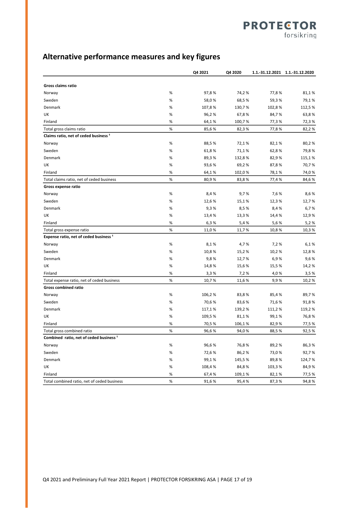## **PROTECTOR** forsikring

**Alternative performance measures and key figures**

|                                                    |      | Q4 2021 | Q4 2020 | 1.1.-31.12.2021 1.1.-31.12.2020 |        |
|----------------------------------------------------|------|---------|---------|---------------------------------|--------|
| Gross claims ratio                                 |      |         |         |                                 |        |
| Norway                                             | %    | 97,8%   | 74,2%   | 77,8%                           | 81,1%  |
| Sweden                                             | %    | 58,0%   | 68,5%   | 59,3%                           | 79,1%  |
| Denmark                                            | $\%$ | 107,8%  | 130,7%  | 102,8%                          | 112,5% |
| UK                                                 | %    | 96,2%   | 67,8%   | 84,7%                           | 63,8%  |
| Finland                                            | %    | 64,1%   | 100,7%  | 77,3%                           | 72,3%  |
| Total gross claims ratio                           | $\%$ | 85,6%   | 82,3%   | 77,8%                           | 82,2%  |
| Claims ratio, net of ceded business <sup>1</sup>   |      |         |         |                                 |        |
| Norway                                             | %    | 88,5%   | 72,1%   | 82,1%                           | 80,2%  |
| Sweden                                             | %    | 61,8%   | 71,1%   | 62,8%                           | 79,8%  |
| Denmark                                            | %    | 89,3%   | 132,8%  | 82,9%                           | 115,1% |
| UK                                                 | %    | 93,6%   | 69,2%   | 87,8%                           | 70,7%  |
| Finland                                            | $\%$ | 64,1%   | 102,0%  | 78,1%                           | 74,0%  |
| Total claims ratio, net of ceded business          | $\%$ | 80,9%   | 83,8%   | 77,4%                           | 84,6%  |
| Gross expense ratio                                |      |         |         |                                 |        |
| Norway                                             | $\%$ | 8,4%    | 9,7%    | 7,6%                            | 8,6%   |
| Sweden                                             | %    | 12,6%   | 15,1%   | 12,3%                           | 12,7%  |
| Denmark                                            | %    | 9,3%    | 8,5%    | 8,4%                            | 6,7%   |
| UK                                                 | %    | 13,4%   | 13,3%   | 14,4%                           | 12,9%  |
| Finland                                            | $\%$ | 6,3%    | 5,4%    | 5,6%                            | 5,2%   |
| Total gross expense ratio                          | $\%$ | 11,0%   | 11,7%   | 10,8%                           | 10,3%  |
| Expense ratio, net of ceded business <sup>1</sup>  |      |         |         |                                 |        |
| Norway                                             | %    | 8,1%    | 4,7%    | 7,2%                            | 6,1%   |
| Sweden                                             | %    | 10,8%   | 15,2%   | 10,2%                           | 12,8%  |
| Denmark                                            | %    | 9,8%    | 12,7%   | 6,9%                            | 9,6%   |
| UK                                                 | %    | 14,8%   | 15,6 %  | 15,5%                           | 14,2%  |
| Finland                                            | $\%$ | 3,3%    | 7,2%    | 4,0%                            | 3,5%   |
| Total expense ratio, net of ceded business         | $\%$ | 10,7%   | 11,6 %  | 9,9%                            | 10,2%  |
| <b>Gross combined ratio</b>                        |      |         |         |                                 |        |
| Norway                                             | %    | 106,2%  | 83,8%   | 85,4%                           | 89,7%  |
| Sweden                                             | %    | 70,6%   | 83,6%   | 71,6%                           | 91,8%  |
| Denmark                                            | %    | 117,1%  | 139,2%  | 111,2%                          | 119,2% |
| UK                                                 | %    | 109,5%  | 81,1%   | 99,1%                           | 76,8%  |
| Finland                                            | %    | 70,5%   | 106,1%  | 82,9%                           | 77,5 % |
| Total gross combined ratio                         | $\%$ | 96,6%   | 94,0%   | 88,5%                           | 92,5%  |
| Combined ratio, net of ceded business <sup>1</sup> |      |         |         |                                 |        |
| Norway                                             | %    | 96,6%   | 76,8%   | 89,2%                           | 86,3%  |
| Sweden                                             | %    | 72,6%   | 86,2%   | 73,0%                           | 92,7%  |
| Denmark                                            | %    | 99,1%   | 145,5%  | 89,8%                           | 124,7% |
| UK                                                 | $\%$ | 108,4%  | 84,8%   | 103,3%                          | 84,9%  |
| Finland                                            | %    | 67,4%   | 109,1%  | 82,1%                           | 77,5 % |
| Total combined ratio, net of ceded business        | %    | 91,6%   | 95,4%   | 87,3%                           | 94,8%  |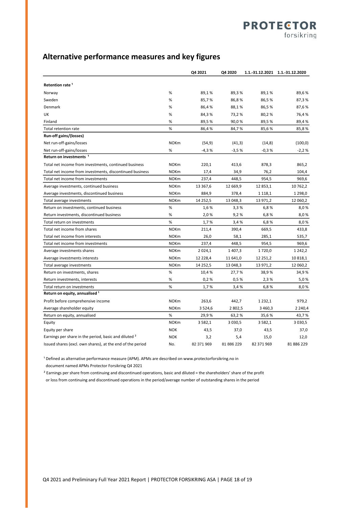### **Alternative performance measures and key figures**

|                                                                  |             | Q4 2021     | Q4 2020     |             | 1.1.-31.12.2021 1.1.-31.12.2020 |
|------------------------------------------------------------------|-------------|-------------|-------------|-------------|---------------------------------|
| Retention rate <sup>1</sup>                                      |             |             |             |             |                                 |
| Norway                                                           | %           | 89,1%       | 89,3%       | 89,1%       | 89,6%                           |
| Sweden                                                           | %           | 85,7%       | 86,8%       | 86,5%       | 87,3%                           |
| Denmark                                                          | %           | 86,4%       | 88,1%       | 86,5%       | 87,6%                           |
| UK                                                               | %           | 84,3%       | 73,2%       | 80,2%       | 76,4%                           |
| Finland                                                          | %           | 89,5%       | 90,0%       | 89,5%       | 89,4%                           |
| Total retention rate                                             | %           | 86,4%       | 84,7%       | 85,6%       | 85,8%                           |
| Run-off gains/(losses)                                           |             |             |             |             |                                 |
| Net run-off-gains/losses                                         | <b>NOKm</b> | (54, 9)     | (41,3)      | (14, 8)     | (100, 0)                        |
| Net run-off-gains/losses                                         | %           | $-4,3%$     | $-3,5%$     | $-0,3%$     | $-2,2%$                         |
| Return on investments <sup>1</sup>                               |             |             |             |             |                                 |
| Total net income from investments, continued business            | <b>NOKm</b> | 220,1       | 413,6       | 878,3       | 865,2                           |
| Total net income from investments, discontinued business         | <b>NOKm</b> | 17,4        | 34,9        | 76,2        | 104,4                           |
| Total net income from investments                                | <b>NOKm</b> | 237,4       | 448,5       | 954,5       | 969,6                           |
| Average investments, continued business                          | <b>NOKm</b> | 13 367,6    | 12 669,9    | 12 853,1    | 10 762,2                        |
| Average investments, discontinued business                       | <b>NOKm</b> | 884,9       | 378,4       | 1 1 1 8 , 1 | 1 2 9 8 , 0                     |
| Total average investments                                        | <b>NOKm</b> | 14 25 2,5   | 13 048,3    | 13 971,2    | 12 060,2                        |
| Return on investments, continued business                        | %           | 1,6 %       | 3,3%        | 6,8%        | 8,0%                            |
| Return investments, discontinued business                        | %           | 2,0%        | 9,2%        | 6,8%        | 8,0%                            |
| Total return on investments                                      | %           | 1,7%        | 3,4%        | 6,8%        | 8,0%                            |
| Total net income from shares                                     | <b>NOKm</b> | 211,4       | 390,4       | 669,5       | 433,8                           |
| Total net income from interests                                  | <b>NOKm</b> | 26,0        | 58,1        | 285,1       | 535,7                           |
| Total net income from investments                                | <b>NOKm</b> | 237,4       | 448,5       | 954,5       | 969,6                           |
| Average investments shares                                       | <b>NOKm</b> | 2 0 2 4, 1  | 1 407,3     | 1720,0      | 1 242,2                         |
| Average investments interests                                    | <b>NOKm</b> | 12 228,4    | 11 641,0    | 12 251,2    | 10 818,1                        |
| Total average investments                                        | <b>NOKm</b> | 14 25 2,5   | 13 048,3    | 13 971,2    | 12 060,2                        |
| Return on investments, shares                                    | %           | 10,4%       | 27,7%       | 38,9%       | 34,9%                           |
| Return investments, interests                                    | %           | 0.2%        | 0.5%        | 2,3%        | 5,0%                            |
| Total return on investments                                      | %           | 1,7%        | 3,4%        | 6,8%        | 8,0%                            |
| Return on equity, annualised <sup>1</sup>                        |             |             |             |             |                                 |
| Profit before comprehensive income                               | <b>NOKm</b> | 263,6       | 442,7       | 1 2 3 2 , 1 | 979.2                           |
| Average shareholder equity                                       | <b>NOKm</b> | 3 5 2 4 , 6 | 2802,5      | 3 4 6 0, 3  | 2 2 4 0 , 4                     |
| Return on equity, annualised                                     | %           | 29,9%       | 63,2%       | 35,6%       | 43,7%                           |
| Equity                                                           | <b>NOKm</b> | 3 5 8 2, 1  | 3 0 3 0 , 5 | 3 5 8 2, 1  | 3 030,5                         |
| Equity per share                                                 | <b>NOK</b>  | 43,5        | 37,0        | 43,5        | 37,0                            |
| Earnings per share in the period, basic and diluted <sup>2</sup> | <b>NOK</b>  | 3,2         | 5,4         | 15,0        | 12,0                            |
| Issued shares (excl. own shares), at the end of the period       | No.         | 82 371 969  | 81 886 229  | 82 371 969  | 81 886 229                      |

<sup>1</sup> Defined as alternative performance measure (APM). APMs are described on www.protectorforsikring.no in document named APMs Protector Forsikring Q4 2021

² Earnings per share from continuing and discontinued operations, basic and diluted = the shareholders' share of the profit or loss from continuing and discontinued operations in the period/average number of outstanding shares in the period